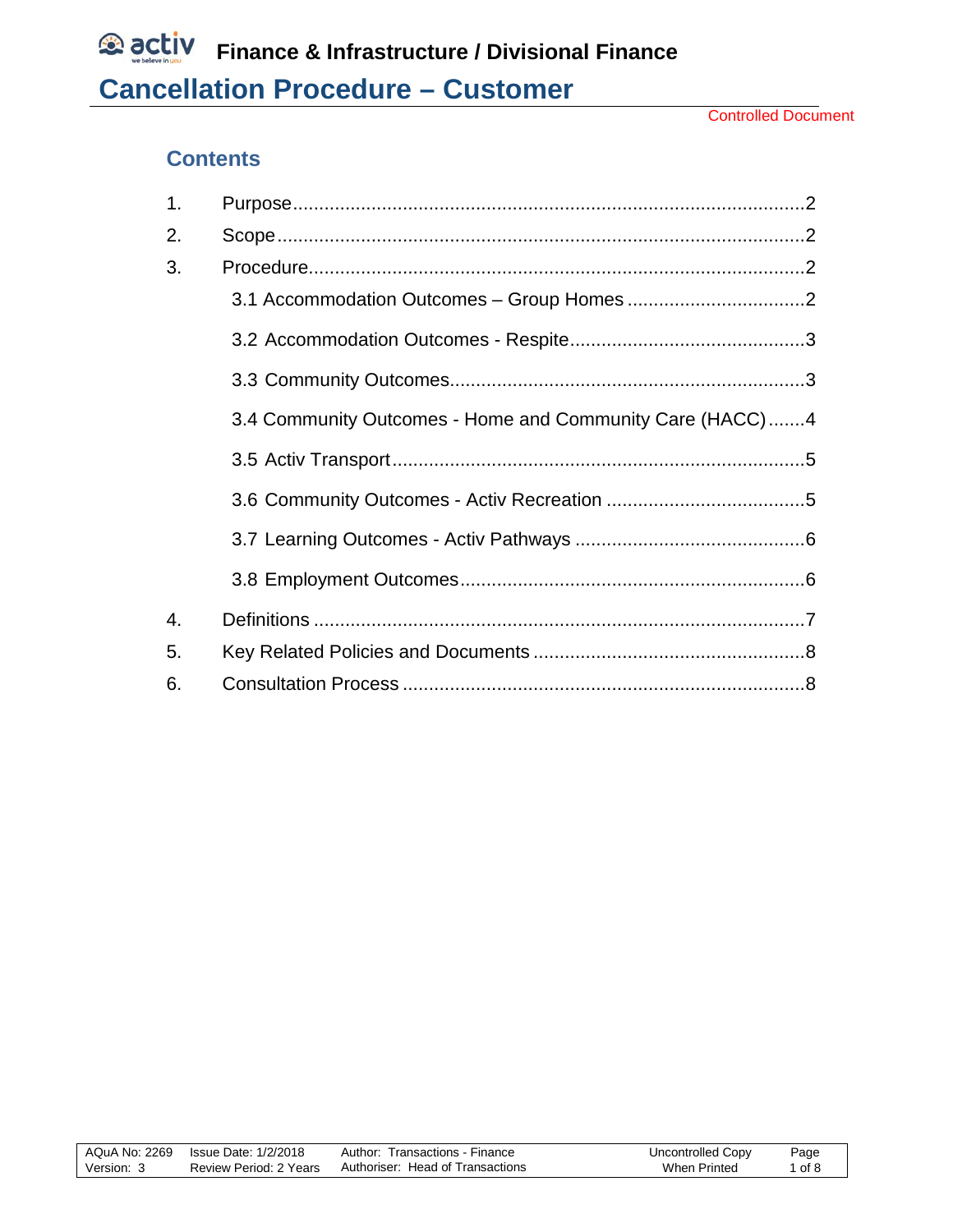# **Contents**

| 1. |                                                          |
|----|----------------------------------------------------------|
| 2. |                                                          |
| 3. |                                                          |
|    |                                                          |
|    |                                                          |
|    |                                                          |
|    | 3.4 Community Outcomes - Home and Community Care (HACC)4 |
|    |                                                          |
|    |                                                          |
|    |                                                          |
|    |                                                          |
| 4. |                                                          |
| 5. |                                                          |
| 6. |                                                          |

|            | AQuA No: 2269 Issue Date: 1/2/2018 | Author: Transactions - Finance   | Uncontrolled Copy | Page |
|------------|------------------------------------|----------------------------------|-------------------|------|
| Version: J | Review Period: 2 Years             | Authoriser: Head of Transactions | When Printed      | of 8 |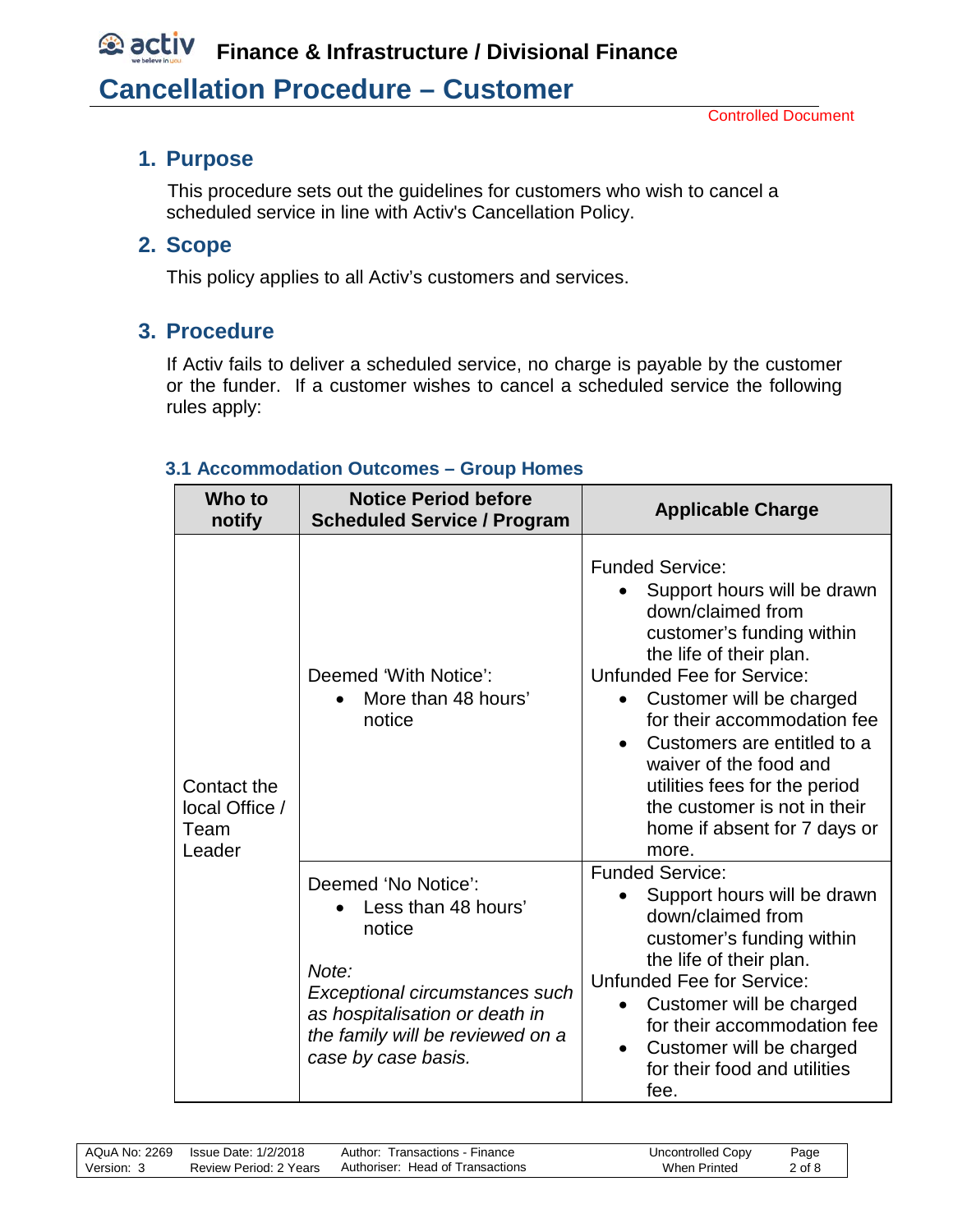# *<b>C* activ Finance & Infrastructure / Divisional Finance **Cancellation Procedure – Customer**

#### <span id="page-1-0"></span>**1. Purpose**

 This procedure sets out the guidelines for customers who wish to cancel a scheduled service in line with Activ's Cancellation Policy.

#### <span id="page-1-1"></span>**2. Scope**

This policy applies to all Activ's customers and services.

## <span id="page-1-2"></span>**3. Procedure**

If Activ fails to deliver a scheduled service, no charge is payable by the customer or the funder. If a customer wishes to cancel a scheduled service the following rules apply:

#### <span id="page-1-3"></span>**3.1 Accommodation Outcomes – Group Homes**

| Who to<br>notify                                | <b>Notice Period before</b><br><b>Scheduled Service / Program</b>                                                                                                                            | <b>Applicable Charge</b>                                                                                                                                                                                                                                                                                                                                                                             |
|-------------------------------------------------|----------------------------------------------------------------------------------------------------------------------------------------------------------------------------------------------|------------------------------------------------------------------------------------------------------------------------------------------------------------------------------------------------------------------------------------------------------------------------------------------------------------------------------------------------------------------------------------------------------|
| Contact the<br>local Office /<br>Team<br>Leader | Deemed 'With Notice':<br>More than 48 hours'<br>notice                                                                                                                                       | <b>Funded Service:</b><br>Support hours will be drawn<br>down/claimed from<br>customer's funding within<br>the life of their plan.<br><b>Unfunded Fee for Service:</b><br>Customer will be charged<br>for their accommodation fee<br>Customers are entitled to a<br>waiver of the food and<br>utilities fees for the period<br>the customer is not in their<br>home if absent for 7 days or<br>more. |
|                                                 | Deemed 'No Notice':<br>Less than 48 hours'<br>notice<br>Note:<br>Exceptional circumstances such<br>as hospitalisation or death in<br>the family will be reviewed on a<br>case by case basis. | <b>Funded Service:</b><br>Support hours will be drawn<br>down/claimed from<br>customer's funding within<br>the life of their plan.<br><b>Unfunded Fee for Service:</b><br>Customer will be charged<br>for their accommodation fee<br>Customer will be charged<br>$\bullet$<br>for their food and utilities<br>fee.                                                                                   |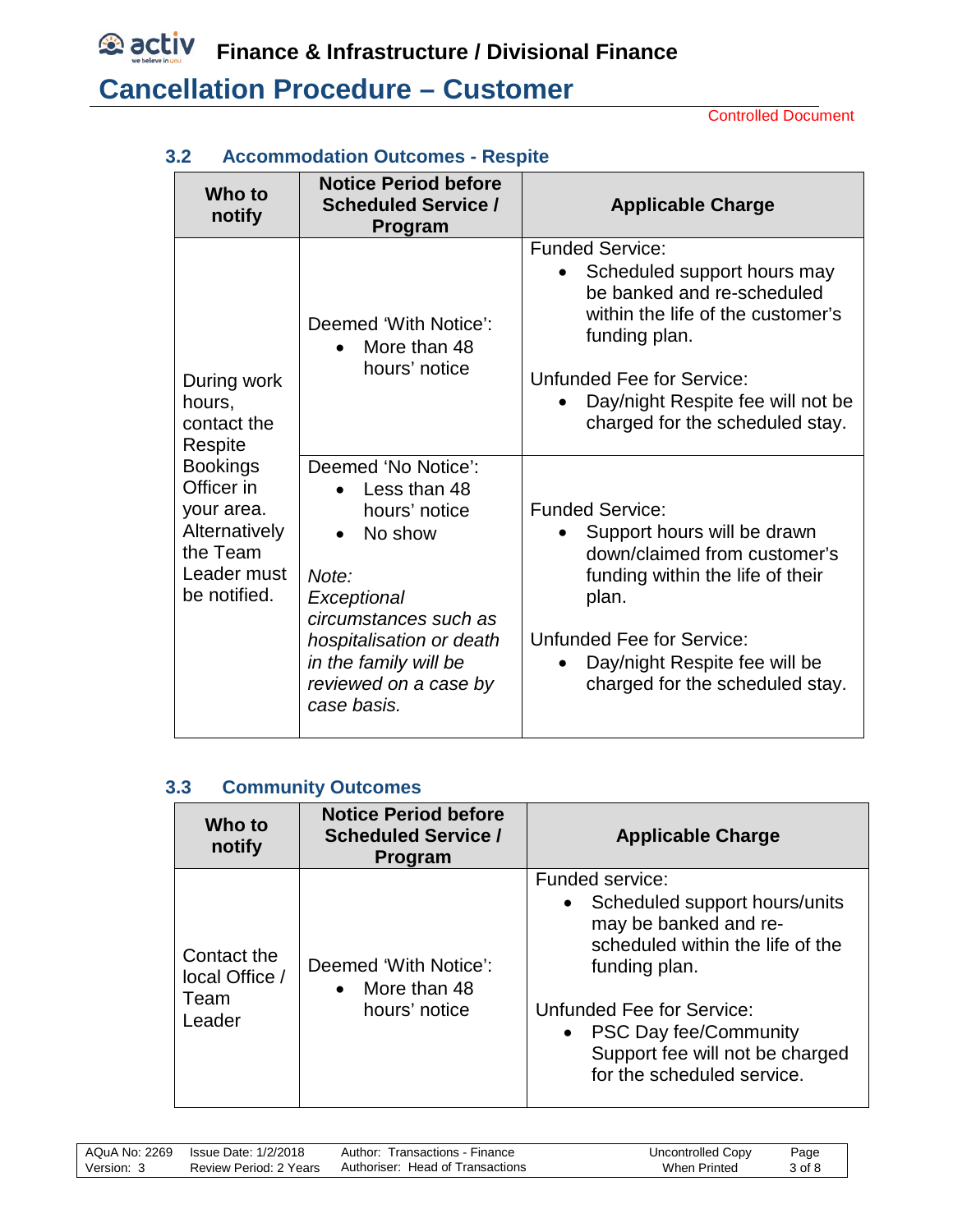Controlled Document

| Who to<br>notify                                                                                        | <b>Notice Period before</b><br><b>Scheduled Service /</b><br>Program                                                                                                                                                       | <b>Applicable Charge</b>                                                                                                                                                                                                                                |
|---------------------------------------------------------------------------------------------------------|----------------------------------------------------------------------------------------------------------------------------------------------------------------------------------------------------------------------------|---------------------------------------------------------------------------------------------------------------------------------------------------------------------------------------------------------------------------------------------------------|
| During work<br>hours,<br>contact the<br>Respite                                                         | Deemed 'With Notice':<br>More than 48<br>$\bullet$<br>hours' notice                                                                                                                                                        | <b>Funded Service:</b><br>Scheduled support hours may<br>be banked and re-scheduled<br>within the life of the customer's<br>funding plan.<br>Unfunded Fee for Service:<br>Day/night Respite fee will not be<br>charged for the scheduled stay.          |
| <b>Bookings</b><br>Officer in<br>your area.<br>Alternatively<br>the Team<br>Leader must<br>be notified. | Deemed 'No Notice':<br>Less than 48<br>hours' notice<br>No show<br>$\bullet$<br>Note:<br>Exceptional<br>circumstances such as<br>hospitalisation or death<br>in the family will be<br>reviewed on a case by<br>case basis. | <b>Funded Service:</b><br>Support hours will be drawn<br>down/claimed from customer's<br>funding within the life of their<br>plan.<br><b>Unfunded Fee for Service:</b><br>Day/night Respite fee will be<br>$\bullet$<br>charged for the scheduled stay. |

### <span id="page-2-0"></span>**3.2 Accommodation Outcomes - Respite**

#### <span id="page-2-1"></span>**3.3 Community Outcomes**

| Who to<br>notify                                | <b>Notice Period before</b><br><b>Scheduled Service /</b><br><b>Program</b> | <b>Applicable Charge</b>                                                                                                                                                                                                                                                    |
|-------------------------------------------------|-----------------------------------------------------------------------------|-----------------------------------------------------------------------------------------------------------------------------------------------------------------------------------------------------------------------------------------------------------------------------|
| Contact the<br>local Office /<br>Team<br>Leader | Deemed 'With Notice':<br>More than 48<br>hours' notice                      | Funded service:<br>Scheduled support hours/units<br>$\bullet$<br>may be banked and re-<br>scheduled within the life of the<br>funding plan.<br><b>Unfunded Fee for Service:</b><br>• PSC Day fee/Community<br>Support fee will not be charged<br>for the scheduled service. |

| AQuA No: 2269 | Issue Date: 1/2/2018   | Author: Transactions - Finance   | Uncontrolled Copy | Page   |
|---------------|------------------------|----------------------------------|-------------------|--------|
| Version: 3    | Review Period: 2 Years | Authoriser: Head of Transactions | When Printed      | 3 of 8 |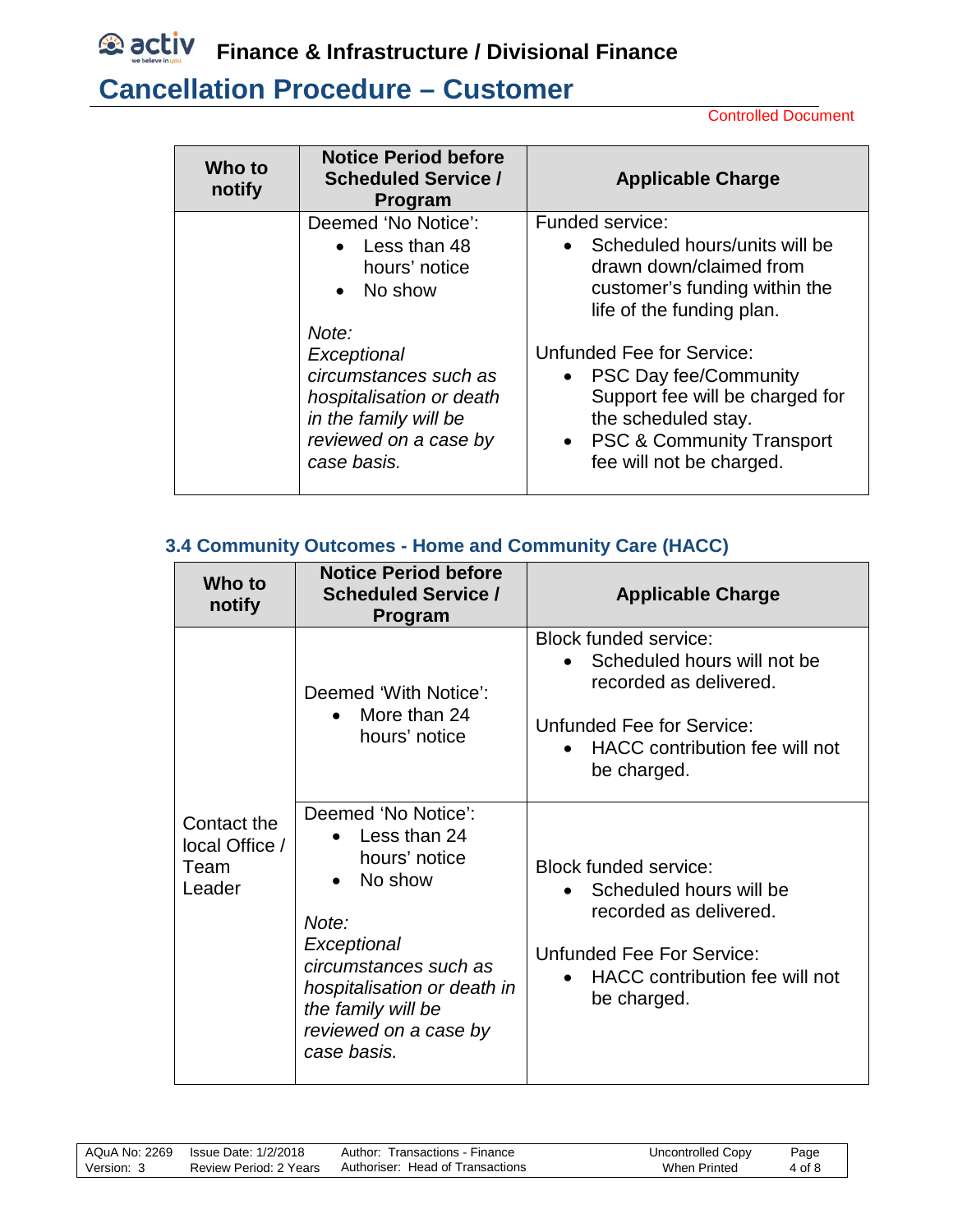

# **Cancellation Procedure – Customer**

Controlled Document

| Who to<br>notify | <b>Notice Period before</b><br><b>Scheduled Service /</b><br><b>Program</b>                                                                | <b>Applicable Charge</b>                                                                                                                                                                    |
|------------------|--------------------------------------------------------------------------------------------------------------------------------------------|---------------------------------------------------------------------------------------------------------------------------------------------------------------------------------------------|
|                  | Deemed 'No Notice':<br>$\bullet$ Less than 48<br>hours' notice<br>No show<br>$\bullet$                                                     | Funded service:<br>Scheduled hours/units will be<br>drawn down/claimed from<br>customer's funding within the<br>life of the funding plan.                                                   |
|                  | Note:<br>Exceptional<br>circumstances such as<br>hospitalisation or death<br>in the family will be<br>reviewed on a case by<br>case basis. | Unfunded Fee for Service:<br><b>PSC Day fee/Community</b><br>$\bullet$<br>Support fee will be charged for<br>the scheduled stay.<br>• PSC & Community Transport<br>fee will not be charged. |

#### <span id="page-3-0"></span>**3.4 Community Outcomes - Home and Community Care (HACC)**

| Who to<br>notify                                | <b>Notice Period before</b><br><b>Scheduled Service /</b><br><b>Program</b>                                                                                                                                                  | <b>Applicable Charge</b>                                                                                                                                                         |
|-------------------------------------------------|------------------------------------------------------------------------------------------------------------------------------------------------------------------------------------------------------------------------------|----------------------------------------------------------------------------------------------------------------------------------------------------------------------------------|
|                                                 | Deemed 'With Notice':<br>$\bullet$ More than 24<br>hours' notice                                                                                                                                                             | <b>Block funded service:</b><br>Scheduled hours will not be<br>$\bullet$<br>recorded as delivered.<br>Unfunded Fee for Service:<br>HACC contribution fee will not<br>be charged. |
| Contact the<br>local Office /<br>Team<br>Leader | Deemed 'No Notice':<br>• Less than 24<br>hours' notice<br>No show<br>$\bullet$<br>Note:<br>Exceptional<br>circumstances such as<br>hospitalisation or death in<br>the family will be<br>reviewed on a case by<br>case basis. | <b>Block funded service:</b><br>Scheduled hours will be<br>recorded as delivered.<br>Unfunded Fee For Service:<br>HACC contribution fee will not<br>be charged.                  |

|            | AQuA No: 2269 Issue Date: 1/2/2018 | Author: Transactions - Finance   | Uncontrolled Copy   | Page   |
|------------|------------------------------------|----------------------------------|---------------------|--------|
| Version: 3 | Review Period: 2 Years             | Authoriser: Head of Transactions | <b>When Printed</b> | 4 of 8 |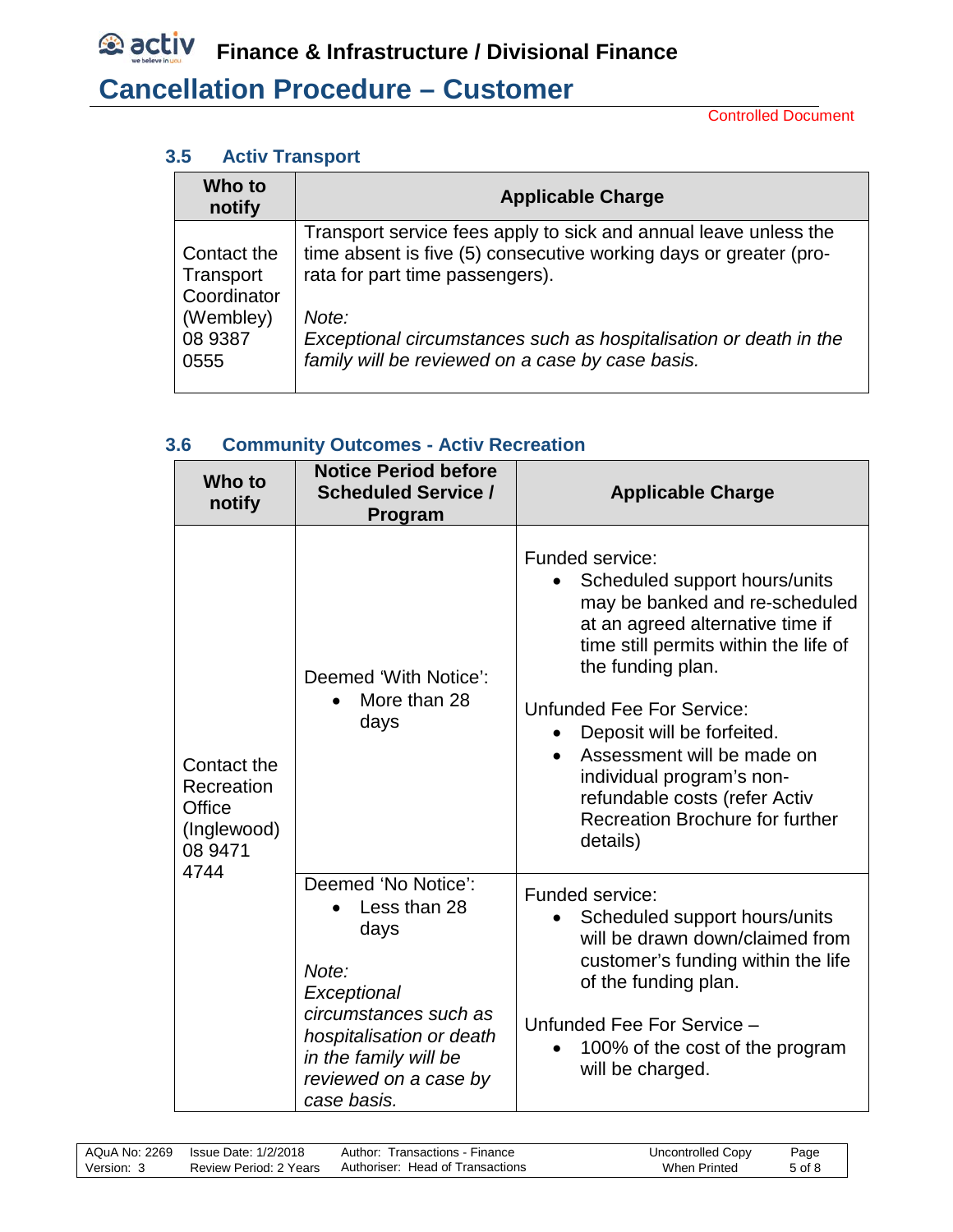Controlled Document

#### <span id="page-4-0"></span>**3.5 Activ Transport**

| Who to<br>notify             | <b>Applicable Charge</b>                                                                                                              |
|------------------------------|---------------------------------------------------------------------------------------------------------------------------------------|
| Contact the                  | Transport service fees apply to sick and annual leave unless the<br>time absent is five (5) consecutive working days or greater (pro- |
| Transport<br>Coordinator     | rata for part time passengers).                                                                                                       |
| (Wembley)<br>08 9387<br>0555 | Note:<br>Exceptional circumstances such as hospitalisation or death in the<br>family will be reviewed on a case by case basis.        |

#### <span id="page-4-1"></span>**3.6 Community Outcomes - Activ Recreation**

| Who to<br>notify                                                      | <b>Notice Period before</b><br><b>Scheduled Service /</b><br>Program                                                                                                                      | <b>Applicable Charge</b>                                                                                                                                                                                                                                                                                                                                                                   |
|-----------------------------------------------------------------------|-------------------------------------------------------------------------------------------------------------------------------------------------------------------------------------------|--------------------------------------------------------------------------------------------------------------------------------------------------------------------------------------------------------------------------------------------------------------------------------------------------------------------------------------------------------------------------------------------|
| Contact the<br>Recreation<br>Office<br>(Inglewood)<br>08 9471<br>4744 | Deemed 'With Notice':<br>More than 28<br>days                                                                                                                                             | Funded service:<br>Scheduled support hours/units<br>may be banked and re-scheduled<br>at an agreed alternative time if<br>time still permits within the life of<br>the funding plan.<br>Unfunded Fee For Service:<br>Deposit will be forfeited.<br>Assessment will be made on<br>individual program's non-<br>refundable costs (refer Activ<br>Recreation Brochure for further<br>details) |
|                                                                       | Deemed 'No Notice':<br>Less than 28<br>days<br>Note:<br>Exceptional<br>circumstances such as<br>hospitalisation or death<br>in the family will be<br>reviewed on a case by<br>case basis. | Funded service:<br>Scheduled support hours/units<br>will be drawn down/claimed from<br>customer's funding within the life<br>of the funding plan.<br>Unfunded Fee For Service -<br>100% of the cost of the program<br>will be charged.                                                                                                                                                     |

| AQuA No: 2269 | Issue Date: 1/2/2018   | Author: Transactions - Finance   | Uncontrolled Copy | Page   |  |
|---------------|------------------------|----------------------------------|-------------------|--------|--|
| Version: 3    | Review Period: 2 Years | Authoriser: Head of Transactions | When Printed      | 5 of 8 |  |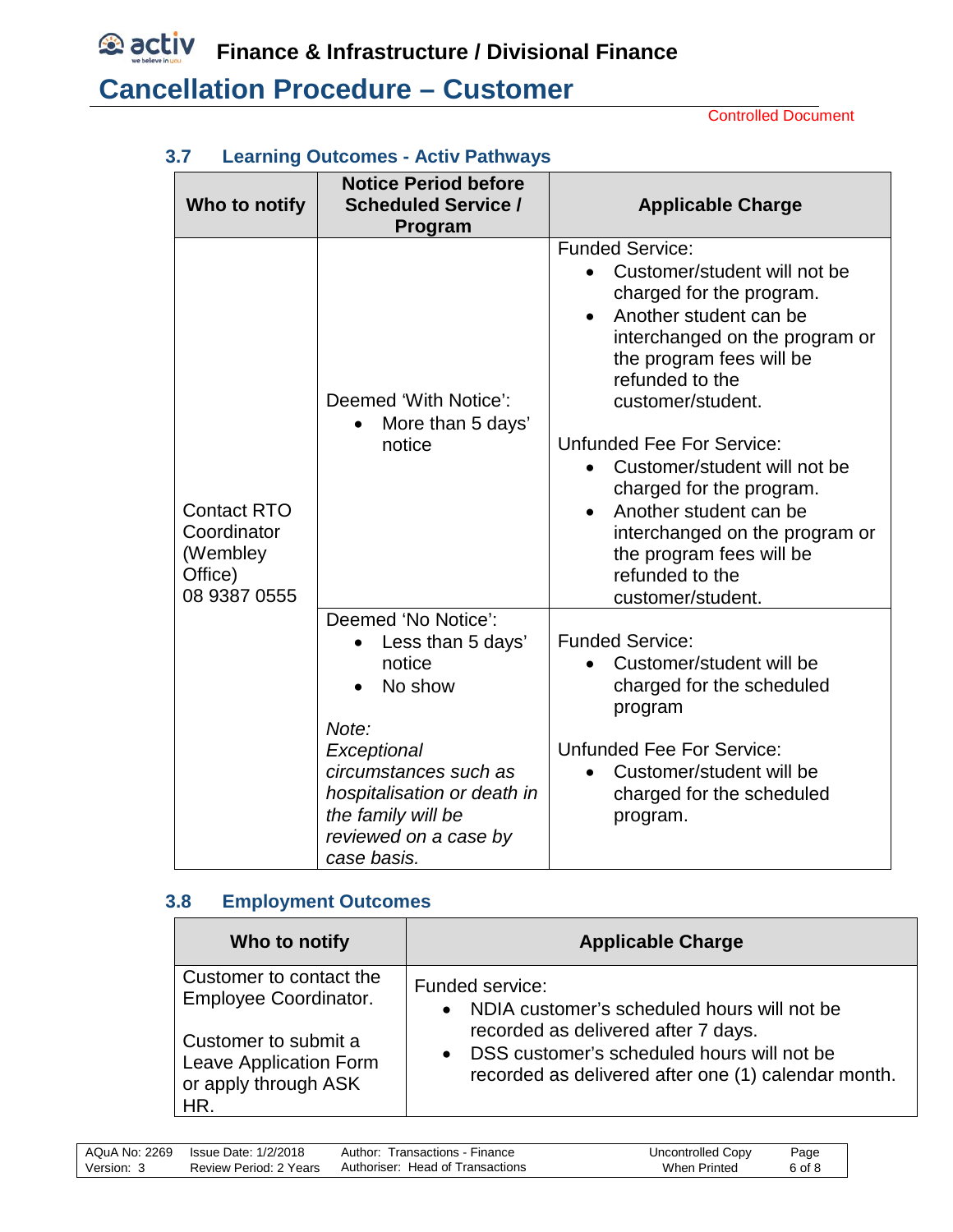**<u><b>E** activ</u> Finance & Infrastructure / Divisional Finance

# **Cancellation Procedure – Customer**

Controlled Document

| Who to notify                                                            | <b>Notice Period before</b><br><b>Scheduled Service /</b><br>Program                                                              | <b>Applicable Charge</b>                                                                                                                                                                                                                                                                                                                                                                                                                                                     |
|--------------------------------------------------------------------------|-----------------------------------------------------------------------------------------------------------------------------------|------------------------------------------------------------------------------------------------------------------------------------------------------------------------------------------------------------------------------------------------------------------------------------------------------------------------------------------------------------------------------------------------------------------------------------------------------------------------------|
| <b>Contact RTO</b><br>Coordinator<br>(Wembley<br>Office)<br>08 9387 0555 | Deemed 'With Notice':<br>More than 5 days'<br>notice                                                                              | <b>Funded Service:</b><br>Customer/student will not be<br>charged for the program.<br>Another student can be<br>$\bullet$<br>interchanged on the program or<br>the program fees will be<br>refunded to the<br>customer/student.<br><b>Unfunded Fee For Service:</b><br>Customer/student will not be<br>charged for the program.<br>Another student can be<br>$\bullet$<br>interchanged on the program or<br>the program fees will be<br>refunded to the<br>customer/student. |
|                                                                          | Deemed 'No Notice':<br>Less than 5 days'<br>notice<br>No show<br>Note:                                                            | <b>Funded Service:</b><br>Customer/student will be<br>charged for the scheduled<br>program                                                                                                                                                                                                                                                                                                                                                                                   |
|                                                                          | Exceptional<br>circumstances such as<br>hospitalisation or death in<br>the family will be<br>reviewed on a case by<br>case basis. | <b>Unfunded Fee For Service:</b><br>Customer/student will be<br>charged for the scheduled<br>program.                                                                                                                                                                                                                                                                                                                                                                        |

#### <span id="page-5-0"></span>**3.7 Learning Outcomes - Activ Pathways**

#### <span id="page-5-1"></span>**3.8 Employment Outcomes**

| Who to notify           | <b>Applicable Charge</b>                            |
|-------------------------|-----------------------------------------------------|
| Customer to contact the | Funded service:                                     |
| Employee Coordinator.   | • NDIA customer's scheduled hours will not be       |
| Customer to submit a    | recorded as delivered after 7 days.                 |
| Leave Application Form  | DSS customer's scheduled hours will not be          |
| or apply through ASK    | $\bullet$                                           |
| HR.                     | recorded as delivered after one (1) calendar month. |

|            | AQuA No: 2269 Issue Date: 1/2/2018 | Author: Transactions - Finance   | Uncontrolled Copy | Page   |
|------------|------------------------------------|----------------------------------|-------------------|--------|
| Version: 3 | Review Period: 2 Years             | Authoriser: Head of Transactions | When Printed      | 6 of 8 |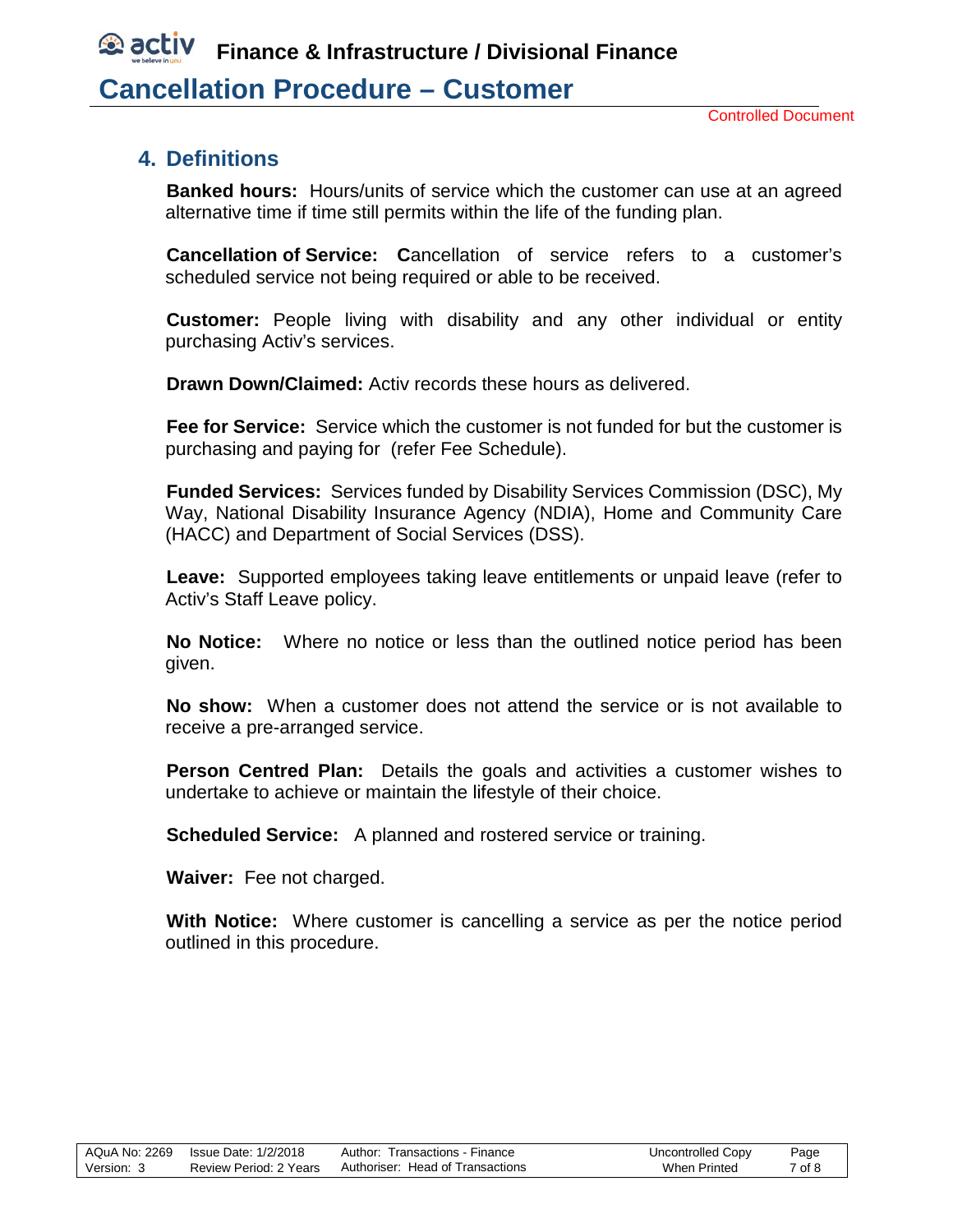## *<b>D* activ **Finance & Infrastructure / Divisional Finance Cancellation Procedure – Customer**

#### <span id="page-6-0"></span>**4. Definitions**

**Banked hours:** Hours/units of service which the customer can use at an agreed alternative time if time still permits within the life of the funding plan.

**Cancellation of Service: C**ancellation of service refers to a customer's scheduled service not being required or able to be received.

**Customer:** People living with disability and any other individual or entity purchasing Activ's services.

**Drawn Down/Claimed:** Activ records these hours as delivered.

**Fee for Service:** Service which the customer is not funded for but the customer is purchasing and paying for (refer Fee Schedule).

**Funded Services:** Services funded by Disability Services Commission (DSC), My Way, National Disability Insurance Agency (NDIA), Home and Community Care (HACC) and Department of Social Services (DSS).

**Leave:** Supported employees taking leave entitlements or unpaid leave (refer to Activ's Staff Leave policy.

**No Notice:** Where no notice or less than the outlined notice period has been given.

**No show:** When a customer does not attend the service or is not available to receive a pre-arranged service.

**Person Centred Plan:** Details the goals and activities a customer wishes to undertake to achieve or maintain the lifestyle of their choice.

**Scheduled Service:** A planned and rostered service or training.

**Waiver:** Fee not charged.

**With Notice:** Where customer is cancelling a service as per the notice period outlined in this procedure.

|            |                        | Author: Transactions - Finance   | Uncontrolled Copy | Page   |
|------------|------------------------|----------------------------------|-------------------|--------|
| Version: 3 | Review Period: 2 Years | Authoriser: Head of Transactions | When Printed      | 7 of 8 |